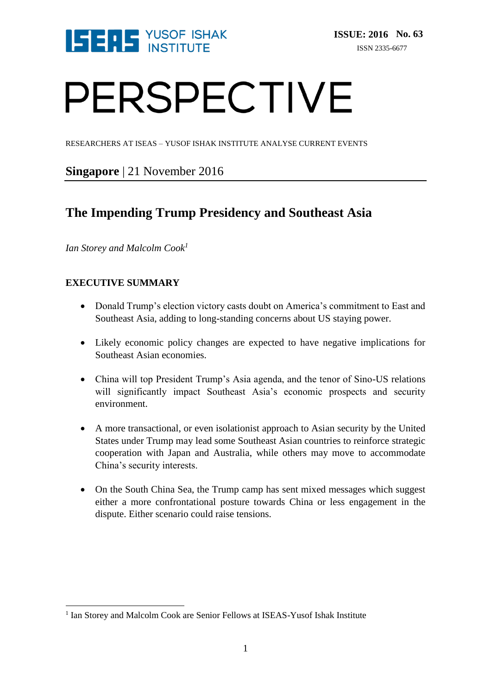

# PERSPECTIVE

RESEARCHERS AT ISEAS – YUSOF ISHAK INSTITUTE ANALYSE CURRENT EVENTS

### **Singapore** | 21 November 2016

## **The Impending Trump Presidency and Southeast Asia**

*Ian Storey and Malcolm Cook<sup>1</sup>*

#### **EXECUTIVE SUMMARY**

- Donald Trump's election victory casts doubt on America's commitment to East and Southeast Asia, adding to long-standing concerns about US staying power.
- Likely economic policy changes are expected to have negative implications for Southeast Asian economies.
- China will top President Trump's Asia agenda, and the tenor of Sino-US relations will significantly impact Southeast Asia's economic prospects and security environment.
- A more transactional, or even isolationist approach to Asian security by the United States under Trump may lead some Southeast Asian countries to reinforce strategic cooperation with Japan and Australia, while others may move to accommodate China's security interests.
- On the South China Sea, the Trump camp has sent mixed messages which suggest either a more confrontational posture towards China or less engagement in the dispute. Either scenario could raise tensions.

 1 Ian Storey and Malcolm Cook are Senior Fellows at ISEAS-Yusof Ishak Institute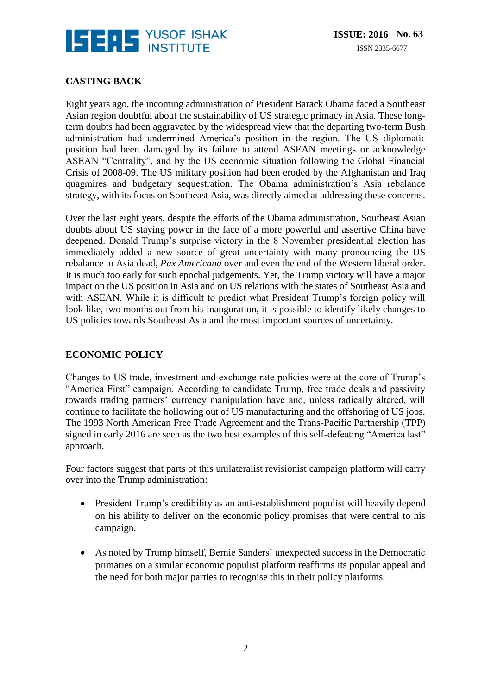

#### **CASTING BACK**

Eight years ago, the incoming administration of President Barack Obama faced a Southeast Asian region doubtful about the sustainability of US strategic primacy in Asia. These longterm doubts had been aggravated by the widespread view that the departing two-term Bush administration had undermined America's position in the region. The US diplomatic position had been damaged by its failure to attend ASEAN meetings or acknowledge ASEAN "Centrality", and by the US economic situation following the Global Financial Crisis of 2008-09. The US military position had been eroded by the Afghanistan and Iraq quagmires and budgetary sequestration. The Obama administration's Asia rebalance strategy, with its focus on Southeast Asia, was directly aimed at addressing these concerns.

Over the last eight years, despite the efforts of the Obama administration, Southeast Asian doubts about US staying power in the face of a more powerful and assertive China have deepened. Donald Trump's surprise victory in the 8 November presidential election has immediately added a new source of great uncertainty with many pronouncing the US rebalance to Asia dead, *Pax Americana* over and even the end of the Western liberal order. It is much too early for such epochal judgements. Yet, the Trump victory will have a major impact on the US position in Asia and on US relations with the states of Southeast Asia and with ASEAN. While it is difficult to predict what President Trump's foreign policy will look like, two months out from his inauguration, it is possible to identify likely changes to US policies towards Southeast Asia and the most important sources of uncertainty.

#### **ECONOMIC POLICY**

Changes to US trade, investment and exchange rate policies were at the core of Trump's "America First" campaign. According to candidate Trump, free trade deals and passivity towards trading partners' currency manipulation have and, unless radically altered, will continue to facilitate the hollowing out of US manufacturing and the offshoring of US jobs. The 1993 North American Free Trade Agreement and the Trans-Pacific Partnership (TPP) signed in early 2016 are seen as the two best examples of this self-defeating "America last" approach.

Four factors suggest that parts of this unilateralist revisionist campaign platform will carry over into the Trump administration:

- President Trump's credibility as an anti-establishment populist will heavily depend on his ability to deliver on the economic policy promises that were central to his campaign.
- As noted by Trump himself, Bernie Sanders' unexpected success in the Democratic primaries on a similar economic populist platform reaffirms its popular appeal and the need for both major parties to recognise this in their policy platforms.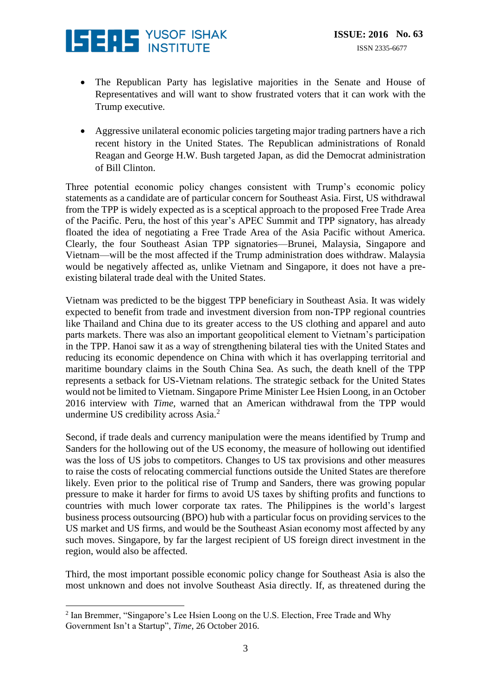

- The Republican Party has legislative majorities in the Senate and House of Representatives and will want to show frustrated voters that it can work with the Trump executive.
- Aggressive unilateral economic policies targeting major trading partners have a rich recent history in the United States. The Republican administrations of Ronald Reagan and George H.W. Bush targeted Japan, as did the Democrat administration of Bill Clinton.

Three potential economic policy changes consistent with Trump's economic policy statements as a candidate are of particular concern for Southeast Asia. First, US withdrawal from the TPP is widely expected as is a sceptical approach to the proposed Free Trade Area of the Pacific. Peru, the host of this year's APEC Summit and TPP signatory, has already floated the idea of negotiating a Free Trade Area of the Asia Pacific without America. Clearly, the four Southeast Asian TPP signatories—Brunei, Malaysia, Singapore and Vietnam—will be the most affected if the Trump administration does withdraw. Malaysia would be negatively affected as, unlike Vietnam and Singapore, it does not have a preexisting bilateral trade deal with the United States.

Vietnam was predicted to be the biggest TPP beneficiary in Southeast Asia. It was widely expected to benefit from trade and investment diversion from non-TPP regional countries like Thailand and China due to its greater access to the US clothing and apparel and auto parts markets. There was also an important geopolitical element to Vietnam's participation in the TPP. Hanoi saw it as a way of strengthening bilateral ties with the United States and reducing its economic dependence on China with which it has overlapping territorial and maritime boundary claims in the South China Sea. As such, the death knell of the TPP represents a setback for US-Vietnam relations. The strategic setback for the United States would not be limited to Vietnam. Singapore Prime Minister Lee Hsien Loong, in an October 2016 interview with *Time,* warned that an American withdrawal from the TPP would undermine US credibility across Asia.<sup>2</sup>

Second, if trade deals and currency manipulation were the means identified by Trump and Sanders for the hollowing out of the US economy, the measure of hollowing out identified was the loss of US jobs to competitors. Changes to US tax provisions and other measures to raise the costs of relocating commercial functions outside the United States are therefore likely. Even prior to the political rise of Trump and Sanders, there was growing popular pressure to make it harder for firms to avoid US taxes by shifting profits and functions to countries with much lower corporate tax rates. The Philippines is the world's largest business process outsourcing (BPO) hub with a particular focus on providing services to the US market and US firms, and would be the Southeast Asian economy most affected by any such moves. Singapore, by far the largest recipient of US foreign direct investment in the region, would also be affected.

Third, the most important possible economic policy change for Southeast Asia is also the most unknown and does not involve Southeast Asia directly. If, as threatened during the

<sup>&</sup>lt;u>.</u> <sup>2</sup> Ian Bremmer, "Singapore's Lee Hsien Loong on the U.S. Election, Free Trade and Why Government Isn't a Startup", *Time*, 26 October 2016.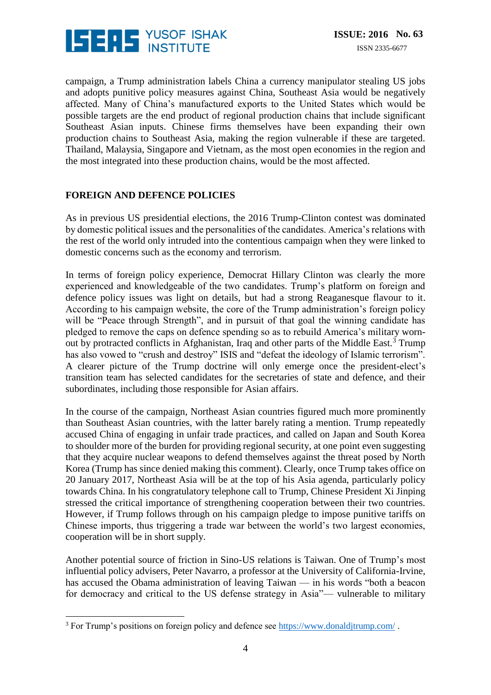

campaign, a Trump administration labels China a currency manipulator stealing US jobs and adopts punitive policy measures against China, Southeast Asia would be negatively affected. Many of China's manufactured exports to the United States which would be possible targets are the end product of regional production chains that include significant Southeast Asian inputs. Chinese firms themselves have been expanding their own production chains to Southeast Asia, making the region vulnerable if these are targeted. Thailand, Malaysia, Singapore and Vietnam, as the most open economies in the region and the most integrated into these production chains, would be the most affected.

#### **FOREIGN AND DEFENCE POLICIES**

As in previous US presidential elections, the 2016 Trump-Clinton contest was dominated by domestic political issues and the personalities of the candidates. America's relations with the rest of the world only intruded into the contentious campaign when they were linked to domestic concerns such as the economy and terrorism.

In terms of foreign policy experience, Democrat Hillary Clinton was clearly the more experienced and knowledgeable of the two candidates. Trump's platform on foreign and defence policy issues was light on details, but had a strong Reaganesque flavour to it. According to his campaign website, the core of the Trump administration's foreign policy will be "Peace through Strength", and in pursuit of that goal the winning candidate has pledged to remove the caps on defence spending so as to rebuild America's military wornout by protracted conflicts in Afghanistan, Iraq and other parts of the Middle East.<sup>3</sup> Trump has also vowed to "crush and destroy" ISIS and "defeat the ideology of Islamic terrorism". A clearer picture of the Trump doctrine will only emerge once the president-elect's transition team has selected candidates for the secretaries of state and defence, and their subordinates, including those responsible for Asian affairs.

In the course of the campaign, Northeast Asian countries figured much more prominently than Southeast Asian countries, with the latter barely rating a mention. Trump repeatedly accused China of engaging in unfair trade practices, and called on Japan and South Korea to shoulder more of the burden for providing regional security, at one point even suggesting that they acquire nuclear weapons to defend themselves against the threat posed by North Korea (Trump has since denied making this comment). Clearly, once Trump takes office on 20 January 2017, Northeast Asia will be at the top of his Asia agenda, particularly policy towards China. In his congratulatory telephone call to Trump, Chinese President Xi Jinping stressed the critical importance of strengthening cooperation between their two countries. However, if Trump follows through on his campaign pledge to impose punitive tariffs on Chinese imports, thus triggering a trade war between the world's two largest economies, cooperation will be in short supply.

Another potential source of friction in Sino-US relations is Taiwan. One of Trump's most influential policy advisers, Peter Navarro, a professor at the University of California-Irvine, has accused the Obama administration of leaving Taiwan — in his words "both a beacon for democracy and critical to the US defense strategy in Asia"— vulnerable to military

<u>.</u>

 $3$  For Trump's positions on foreign policy and defence see<https://www.donaldjtrump.com/>.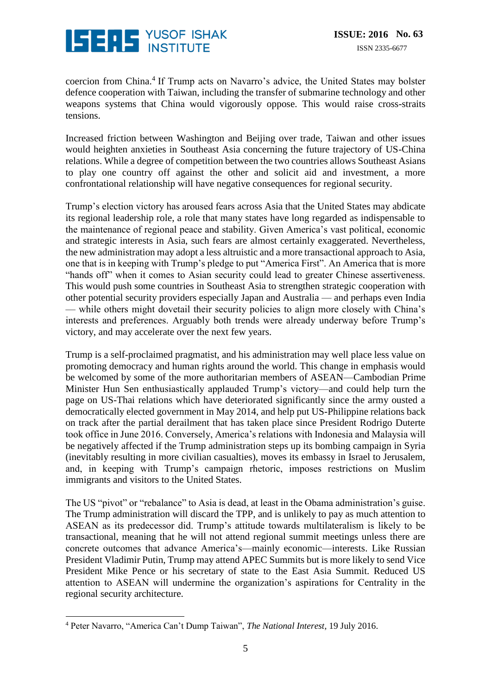

coercion from China.<sup>4</sup> If Trump acts on Navarro's advice, the United States may bolster defence cooperation with Taiwan, including the transfer of submarine technology and other weapons systems that China would vigorously oppose. This would raise cross-straits tensions.

Increased friction between Washington and Beijing over trade, Taiwan and other issues would heighten anxieties in Southeast Asia concerning the future trajectory of US-China relations. While a degree of competition between the two countries allows Southeast Asians to play one country off against the other and solicit aid and investment, a more confrontational relationship will have negative consequences for regional security.

Trump's election victory has aroused fears across Asia that the United States may abdicate its regional leadership role, a role that many states have long regarded as indispensable to the maintenance of regional peace and stability. Given America's vast political, economic and strategic interests in Asia, such fears are almost certainly exaggerated. Nevertheless, the new administration may adopt a less altruistic and a more transactional approach to Asia, one that is in keeping with Trump's pledge to put "America First". An America that is more "hands off" when it comes to Asian security could lead to greater Chinese assertiveness. This would push some countries in Southeast Asia to strengthen strategic cooperation with other potential security providers especially Japan and Australia — and perhaps even India — while others might dovetail their security policies to align more closely with China's interests and preferences. Arguably both trends were already underway before Trump's victory, and may accelerate over the next few years.

Trump is a self-proclaimed pragmatist, and his administration may well place less value on promoting democracy and human rights around the world. This change in emphasis would be welcomed by some of the more authoritarian members of ASEAN—Cambodian Prime Minister Hun Sen enthusiastically applauded Trump's victory—and could help turn the page on US-Thai relations which have deteriorated significantly since the army ousted a democratically elected government in May 2014, and help put US-Philippine relations back on track after the partial derailment that has taken place since President Rodrigo Duterte took office in June 2016. Conversely, America's relations with Indonesia and Malaysia will be negatively affected if the Trump administration steps up its bombing campaign in Syria (inevitably resulting in more civilian casualties), moves its embassy in Israel to Jerusalem, and, in keeping with Trump's campaign rhetoric, imposes restrictions on Muslim immigrants and visitors to the United States.

The US "pivot" or "rebalance" to Asia is dead, at least in the Obama administration's guise. The Trump administration will discard the TPP, and is unlikely to pay as much attention to ASEAN as its predecessor did. Trump's attitude towards multilateralism is likely to be transactional, meaning that he will not attend regional summit meetings unless there are concrete outcomes that advance America's—mainly economic—interests. Like Russian President Vladimir Putin, Trump may attend APEC Summits but is more likely to send Vice President Mike Pence or his secretary of state to the East Asia Summit. Reduced US attention to ASEAN will undermine the organization's aspirations for Centrality in the regional security architecture.

<u>.</u>

<sup>4</sup> Peter Navarro, "America Can't Dump Taiwan", *The National Interest,* 19 July 2016.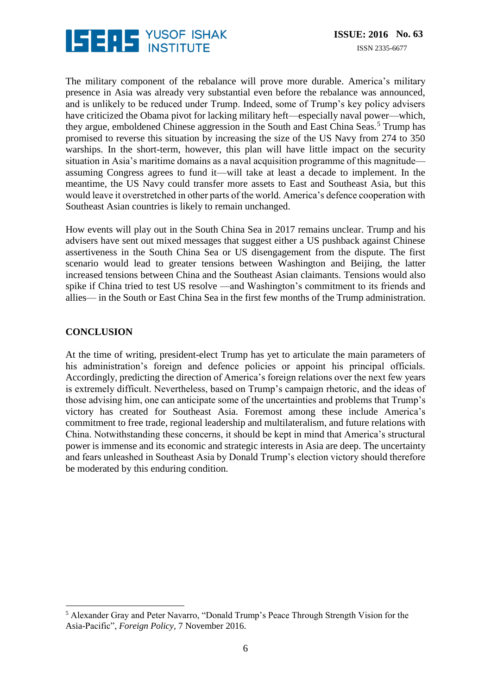

The military component of the rebalance will prove more durable. America's military presence in Asia was already very substantial even before the rebalance was announced, and is unlikely to be reduced under Trump. Indeed, some of Trump's key policy advisers have criticized the Obama pivot for lacking military heft—especially naval power—which, they argue, emboldened Chinese aggression in the South and East China Seas.<sup>5</sup> Trump has promised to reverse this situation by increasing the size of the US Navy from 274 to 350 warships. In the short-term, however, this plan will have little impact on the security situation in Asia's maritime domains as a naval acquisition programme of this magnitude assuming Congress agrees to fund it—will take at least a decade to implement. In the meantime, the US Navy could transfer more assets to East and Southeast Asia, but this would leave it overstretched in other parts of the world. America's defence cooperation with Southeast Asian countries is likely to remain unchanged.

How events will play out in the South China Sea in 2017 remains unclear. Trump and his advisers have sent out mixed messages that suggest either a US pushback against Chinese assertiveness in the South China Sea or US disengagement from the dispute. The first scenario would lead to greater tensions between Washington and Beijing, the latter increased tensions between China and the Southeast Asian claimants. Tensions would also spike if China tried to test US resolve —and Washington's commitment to its friends and allies— in the South or East China Sea in the first few months of the Trump administration.

#### **CONCLUSION**

<u>.</u>

At the time of writing, president-elect Trump has yet to articulate the main parameters of his administration's foreign and defence policies or appoint his principal officials. Accordingly, predicting the direction of America's foreign relations over the next few years is extremely difficult. Nevertheless, based on Trump's campaign rhetoric, and the ideas of those advising him, one can anticipate some of the uncertainties and problems that Trump's victory has created for Southeast Asia. Foremost among these include America's commitment to free trade, regional leadership and multilateralism, and future relations with China. Notwithstanding these concerns, it should be kept in mind that America's structural power is immense and its economic and strategic interests in Asia are deep. The uncertainty and fears unleashed in Southeast Asia by Donald Trump's election victory should therefore be moderated by this enduring condition.

<sup>5</sup> Alexander Gray and Peter Navarro, "Donald Trump's Peace Through Strength Vision for the Asia-Pacific", *Foreign Policy,* 7 November 2016.